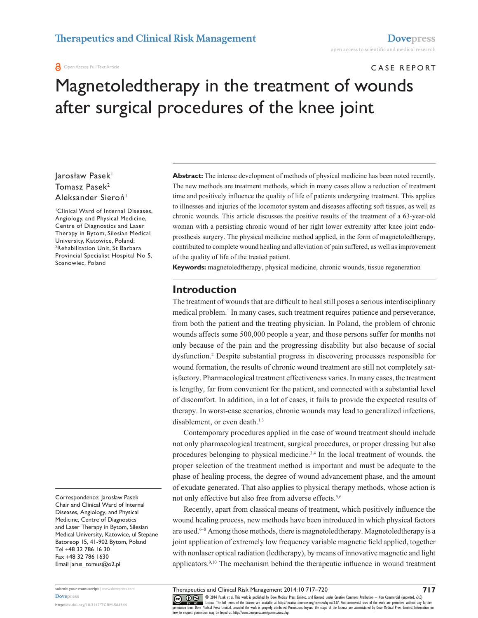#### **a** Open Access Full Text Article

## Case RepoRT

# Magnetoledtherapy in the treatment of wounds after surgical procedures of the knee joint

Jarosław Pasek<sup>1</sup> Tomasz Pasek<sup>2</sup> Aleksander Sieroń<sup>1</sup>

<sup>1</sup>Clinical Ward of Internal Diseases, Angiology, and Physical Medicine, Centre of Diagnostics and Laser Therapy in Bytom, Silesian Medical University, Katowice, poland; <sup>2</sup>Rehabilitation Unit, St Barbara Provincial Specialist Hospital No 5, Sosnowiec, Poland

Correspondence: Jarosław Pasek Chair and Clinical Ward of Internal Diseases, Angiology, and Physical Medicine, Centre of Diagnostics and Laser Therapy in Bytom, Silesian Medical University, Katowice, ul stepane Batoreop 15, 41-902 Bytom, Poland Tel +48 32 786 16 30 Fax +48 32 786 1630 Email [jarus\\_tomus@o2.pl](mailto:jarus_tomus@o2.pl)

**submit your manuscript** | www.dovepress.com **Dovepress** 

**<http://dx.doi.org/10.2147/TCRM.S64644>**

**Abstract:** The intense development of methods of physical medicine has been noted recently. The new methods are treatment methods, which in many cases allow a reduction of treatment time and positively influence the quality of life of patients undergoing treatment. This applies to illnesses and injuries of the locomotor system and diseases affecting soft tissues, as well as chronic wounds. This article discusses the positive results of the treatment of a 63-year-old woman with a persisting chronic wound of her right lower extremity after knee joint endoprosthesis surgery. The physical medicine method applied, in the form of magnetoledtherapy, contributed to complete wound healing and alleviation of pain suffered, as well as improvement of the quality of life of the treated patient.

**Keywords:** magnetoledtherapy, physical medicine, chronic wounds, tissue regeneration

#### **Introduction**

The treatment of wounds that are difficult to heal still poses a serious interdisciplinary medical problem.<sup>1</sup> In many cases, such treatment requires patience and perseverance, from both the patient and the treating physician. In Poland, the problem of chronic wounds affects some 500,000 people a year, and those persons suffer for months not only because of the pain and the progressing disability but also because of social dysfunction.<sup>2</sup> Despite substantial progress in discovering processes responsible for wound formation, the results of chronic wound treatment are still not completely satisfactory. Pharmacological treatment effectiveness varies. In many cases, the treatment is lengthy, far from convenient for the patient, and connected with a substantial level of discomfort. In addition, in a lot of cases, it fails to provide the expected results of therapy. In worst-case scenarios, chronic wounds may lead to generalized infections, disablement, or even death.<sup>1,3</sup>

Contemporary procedures applied in the case of wound treatment should include not only pharmacological treatment, surgical procedures, or proper dressing but also procedures belonging to physical medicine.<sup>3,4</sup> In the local treatment of wounds, the proper selection of the treatment method is important and must be adequate to the phase of healing process, the degree of wound advancement phase, and the amount of exudate generated. That also applies to physical therapy methods, whose action is not only effective but also free from adverse effects.<sup>5,6</sup>

Recently, apart from classical means of treatment, which positively influence the wound healing process, new methods have been introduced in which physical factors are used.<sup>6–8</sup> Among those methods, there is magnetoled therapy. Magnetoled therapy is a joint application of extremely low frequency variable magnetic field applied, together with nonlaser optical radiation (ledtherapy), by means of innovative magnetic and light applicators.9,10 The mechanism behind the therapeutic influence in wound treatment

CO OS © 2014 Pasek et al. This work is published by Dove Medical Press Limited, and licensed under Creative Commons Attribution - Non Commercial (unported, v3.0)<br> [permission from Dove M](http://www.dovepress.com/permissions.php)edical Press Limited, provided the wo how to request permission may be found at: http://www.dovepress.com/permissions.php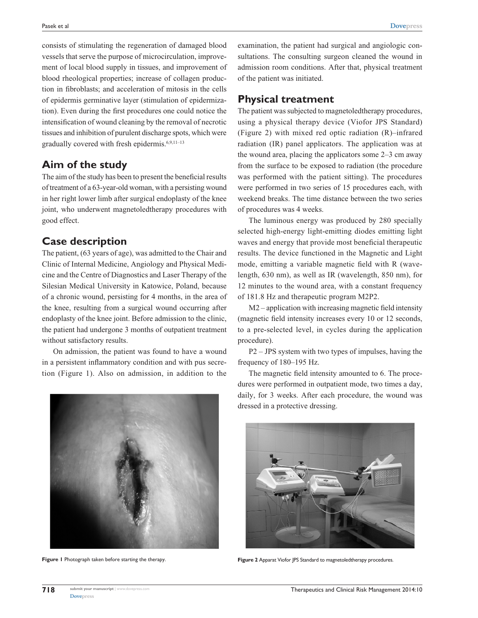consists of stimulating the regeneration of damaged blood vessels that serve the purpose of microcirculation, improvement of local blood supply in tissues, and improvement of blood rheological properties; increase of collagen production in fibroblasts; and acceleration of mitosis in the cells of epidermis germinative layer (stimulation of epidermization). Even during the first procedures one could notice the intensification of wound cleaning by the removal of necrotic tissues and inhibition of purulent discharge spots, which were gradually covered with fresh epidermis.6,9,11–13

## **Aim of the study**

The aim of the study has been to present the beneficial results of treatment of a 63-year-old woman, with a persisting wound in her right lower limb after surgical endoplasty of the knee joint, who underwent magnetoledtherapy procedures with good effect.

## **Case description**

The patient, (63 years of age), was admitted to the Chair and Clinic of Internal Medicine, Angiology and Physical Medicine and the Centre of Diagnostics and Laser Therapy of the Silesian Medical University in Katowice, Poland, because of a chronic wound, persisting for 4 months, in the area of the knee, resulting from a surgical wound occurring after endoplasty of the knee joint. Before admission to the clinic, the patient had undergone 3 months of outpatient treatment without satisfactory results.

On admission, the patient was found to have a wound in a persistent inflammatory condition and with pus secretion (Figure 1). Also on admission, in addition to the examination, the patient had surgical and angiologic consultations. The consulting surgeon cleaned the wound in admission room conditions. After that, physical treatment of the patient was initiated.

### **Physical treatment**

The patient was subjected to magnetoledtherapy procedures, using a physical therapy device (Viofor JPS Standard) (Figure 2) with mixed red optic radiation (R)–infrared radiation (IR) panel applicators. The application was at the wound area, placing the applicators some 2–3 cm away from the surface to be exposed to radiation (the procedure was performed with the patient sitting). The procedures were performed in two series of 15 procedures each, with weekend breaks. The time distance between the two series of procedures was 4 weeks.

The luminous energy was produced by 280 specially selected high-energy light-emitting diodes emitting light waves and energy that provide most beneficial therapeutic results. The device functioned in the Magnetic and Light mode, emitting a variable magnetic field with R (wavelength, 630 nm), as well as IR (wavelength, 850 nm), for 12 minutes to the wound area, with a constant frequency of 181.8 Hz and therapeutic program M2P2.

M2 – application with increasing magnetic field intensity (magnetic field intensity increases every 10 or 12 seconds, to a pre-selected level, in cycles during the application procedure).

P2 – JPS system with two types of impulses, having the frequency of 180–195 Hz.

The magnetic field intensity amounted to 6. The procedures were performed in outpatient mode, two times a day, daily, for 3 weeks. After each procedure, the wound was dressed in a protective dressing.





**Figure 1** Photograph taken before starting the therapy. **Figure 2** Apparat Viofor JPS Standard to magnetoledtherapy procedures.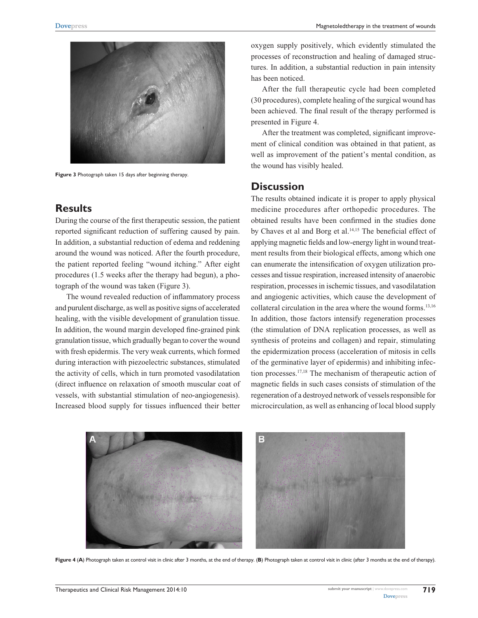

Figure 3 Photograph taken 15 days after beginning therapy.

#### **Results**

During the course of the first therapeutic session, the patient reported significant reduction of suffering caused by pain. In addition, a substantial reduction of edema and reddening around the wound was noticed. After the fourth procedure, the patient reported feeling "wound itching." After eight procedures (1.5 weeks after the therapy had begun), a photograph of the wound was taken (Figure 3).

The wound revealed reduction of inflammatory process and purulent discharge, as well as positive signs of accelerated healing, with the visible development of granulation tissue. In addition, the wound margin developed fine-grained pink granulation tissue, which gradually began to cover the wound with fresh epidermis. The very weak currents, which formed during interaction with piezoelectric substances, stimulated the activity of cells, which in turn promoted vasodilatation (direct influence on relaxation of smooth muscular coat of vessels, with substantial stimulation of neo-angiogenesis). Increased blood supply for tissues influenced their better

oxygen supply positively, which evidently stimulated the processes of reconstruction and healing of damaged structures. In addition, a substantial reduction in pain intensity has been noticed.

After the full therapeutic cycle had been completed (30 procedures), complete healing of the surgical wound has been achieved. The final result of the therapy performed is presented in Figure 4.

After the treatment was completed, significant improvement of clinical condition was obtained in that patient, as well as improvement of the patient's mental condition, as the wound has visibly healed.

### **Discussion**

The results obtained indicate it is proper to apply physical medicine procedures after orthopedic procedures. The obtained results have been confirmed in the studies done by Chaves et al and Borg et al.<sup>14,15</sup> The beneficial effect of applying magnetic fields and low-energy light in wound treatment results from their biological effects, among which one can enumerate the intensification of oxygen utilization processes and tissue respiration, increased intensity of anaerobic respiration, processes in ischemic tissues, and vasodilatation and angiogenic activities, which cause the development of collateral circulation in the area where the wound forms.13,16 In addition, those factors intensify regeneration processes (the stimulation of DNA replication processes, as well as synthesis of proteins and collagen) and repair, stimulating the epidermization process (acceleration of mitosis in cells of the germinative layer of epidermis) and inhibiting infection processes.17,18 The mechanism of therapeutic action of magnetic fields in such cases consists of stimulation of the regeneration of a destroyed network of vessels responsible for microcirculation, as well as enhancing of local blood supply



**Figure 4** (**A**) photograph taken at control visit in clinic after 3 months, at the end of therapy. (**B**) photograph taken at control visit in clinic (after 3 months at the end of therapy).